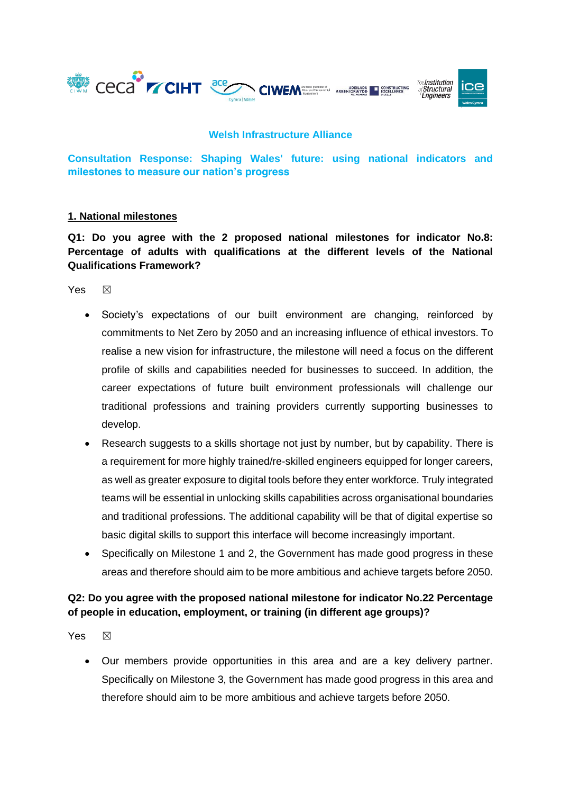

#### **Welsh Infrastructure Alliance**

**Consultation Response: Shaping Wales' future: using national indicators and milestones to measure our nation's progress**

#### **1. National milestones**

**Q1: Do you agree with the 2 proposed national milestones for indicator No.8: Percentage of adults with qualifications at the different levels of the National Qualifications Framework?**

Yes  $\boxtimes$ 

- Society's expectations of our built environment are changing, reinforced by commitments to Net Zero by 2050 and an increasing influence of ethical investors. To realise a new vision for infrastructure, the milestone will need a focus on the different profile of skills and capabilities needed for businesses to succeed. In addition, the career expectations of future built environment professionals will challenge our traditional professions and training providers currently supporting businesses to develop.
- Research suggests to a skills shortage not just by number, but by capability. There is a requirement for more highly trained/re-skilled engineers equipped for longer careers, as well as greater exposure to digital tools before they enter workforce. Truly integrated teams will be essential in unlocking skills capabilities across organisational boundaries and traditional professions. The additional capability will be that of digital expertise so basic digital skills to support this interface will become increasingly important.
- Specifically on Milestone 1 and 2, the Government has made good progress in these areas and therefore should aim to be more ambitious and achieve targets before 2050.

## **Q2: Do you agree with the proposed national milestone for indicator No.22 Percentage of people in education, employment, or training (in different age groups)?**

Yes  $\boxtimes$ 

• Our members provide opportunities in this area and are a key delivery partner. Specifically on Milestone 3, the Government has made good progress in this area and therefore should aim to be more ambitious and achieve targets before 2050.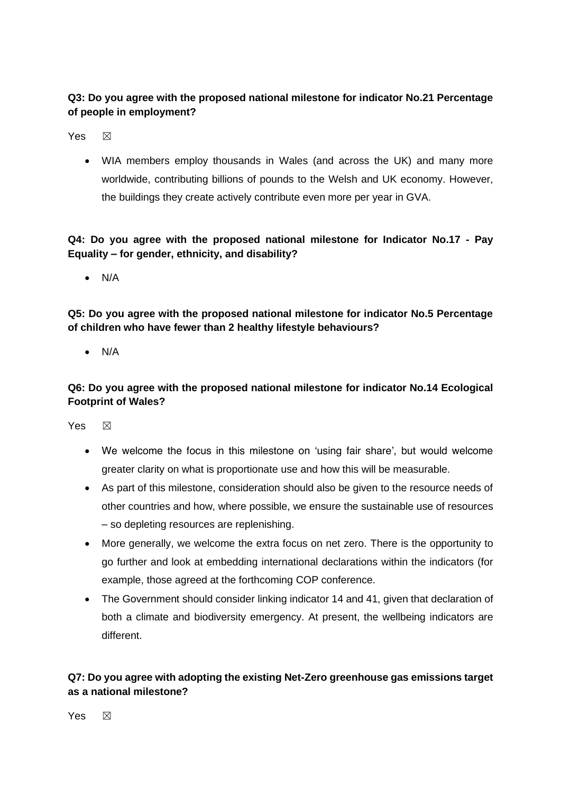# **Q3: Do you agree with the proposed national milestone for indicator No.21 Percentage of people in employment?**

Yes  $\boxtimes$ 

• WIA members employ thousands in Wales (and across the UK) and many more worldwide, contributing billions of pounds to the Welsh and UK economy. However, the buildings they create actively contribute even more per year in GVA.

# **Q4: Do you agree with the proposed national milestone for Indicator No.17 - Pay Equality – for gender, ethnicity, and disability?**

• N/A

**Q5: Do you agree with the proposed national milestone for indicator No.5 Percentage of children who have fewer than 2 healthy lifestyle behaviours?**

• N/A

# **Q6: Do you agree with the proposed national milestone for indicator No.14 Ecological Footprint of Wales?**

Yes  $\boxtimes$ 

- We welcome the focus in this milestone on 'using fair share', but would welcome greater clarity on what is proportionate use and how this will be measurable.
- As part of this milestone, consideration should also be given to the resource needs of other countries and how, where possible, we ensure the sustainable use of resources – so depleting resources are replenishing.
- More generally, we welcome the extra focus on net zero. There is the opportunity to go further and look at embedding international declarations within the indicators (for example, those agreed at the forthcoming COP conference.
- The Government should consider linking indicator 14 and 41, given that declaration of both a climate and biodiversity emergency. At present, the wellbeing indicators are different.

# **Q7: Do you agree with adopting the existing Net-Zero greenhouse gas emissions target as a national milestone?**

Yes  $\boxtimes$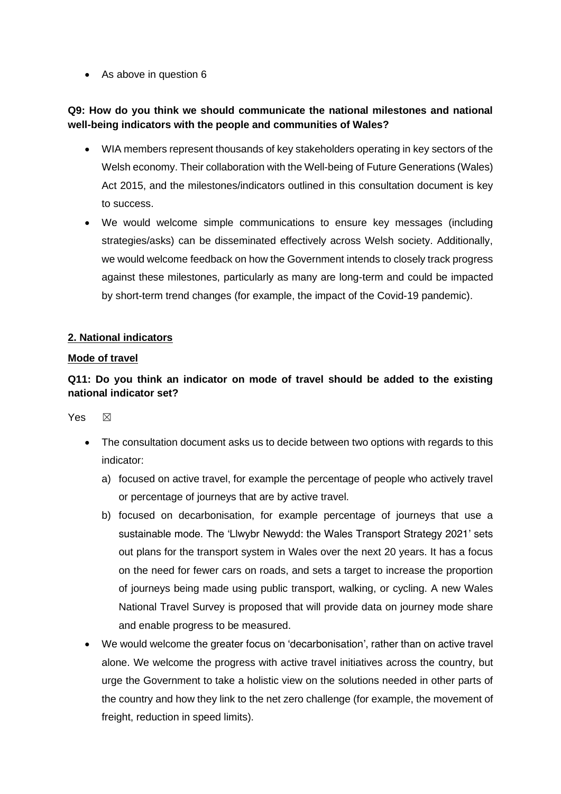• As above in question 6

## **Q9: How do you think we should communicate the national milestones and national well-being indicators with the people and communities of Wales?**

- WIA members represent thousands of key stakeholders operating in key sectors of the Welsh economy. Their collaboration with the Well-being of Future Generations (Wales) Act 2015, and the milestones/indicators outlined in this consultation document is key to success.
- We would welcome simple communications to ensure key messages (including strategies/asks) can be disseminated effectively across Welsh society. Additionally, we would welcome feedback on how the Government intends to closely track progress against these milestones, particularly as many are long-term and could be impacted by short-term trend changes (for example, the impact of the Covid-19 pandemic).

## **2. National indicators**

## **Mode of travel**

# **Q11: Do you think an indicator on mode of travel should be added to the existing national indicator set?**

Yes  $\boxtimes$ 

- The consultation document asks us to decide between two options with regards to this indicator:
	- a) focused on active travel, for example the percentage of people who actively travel or percentage of journeys that are by active travel.
	- b) focused on decarbonisation, for example percentage of journeys that use a sustainable mode. The 'Llwybr Newydd: the Wales Transport Strategy 2021' sets out plans for the transport system in Wales over the next 20 years. It has a focus on the need for fewer cars on roads, and sets a target to increase the proportion of journeys being made using public transport, walking, or cycling. A new Wales National Travel Survey is proposed that will provide data on journey mode share and enable progress to be measured.
- We would welcome the greater focus on 'decarbonisation', rather than on active travel alone. We welcome the progress with active travel initiatives across the country, but urge the Government to take a holistic view on the solutions needed in other parts of the country and how they link to the net zero challenge (for example, the movement of freight, reduction in speed limits).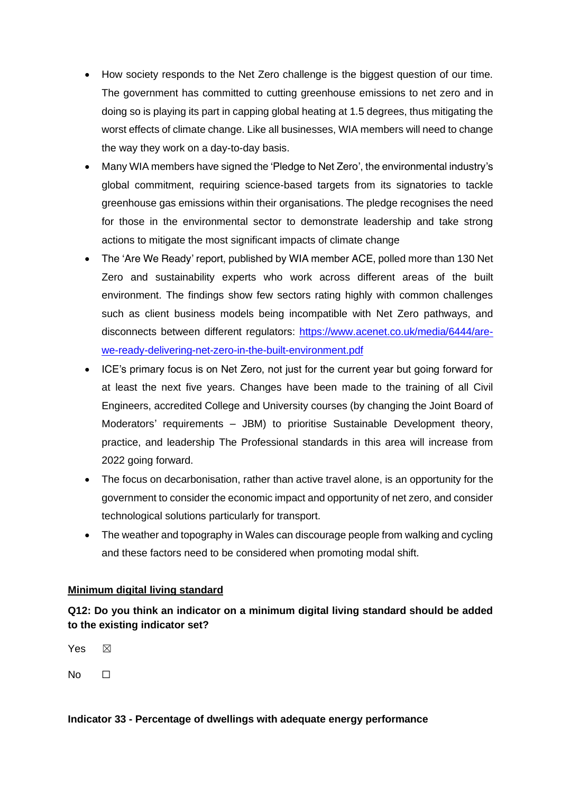- How society responds to the Net Zero challenge is the biggest question of our time. The government has committed to cutting greenhouse emissions to net zero and in doing so is playing its part in capping global heating at 1.5 degrees, thus mitigating the worst effects of climate change. Like all businesses, WIA members will need to change the way they work on a day-to-day basis.
- Many WIA members have signed the 'Pledge to Net Zero', the environmental industry's global commitment, requiring science-based targets from its signatories to tackle greenhouse gas emissions within their organisations. The pledge recognises the need for those in the environmental sector to demonstrate leadership and take strong actions to mitigate the most significant impacts of climate change
- The 'Are We Ready' report, published by WIA member ACE, polled more than 130 Net Zero and sustainability experts who work across different areas of the built environment. The findings show few sectors rating highly with common challenges such as client business models being incompatible with Net Zero pathways, and disconnects between different regulators: [https://www.acenet.co.uk/media/6444/are](https://www.acenet.co.uk/media/6444/are-we-ready-delivering-net-zero-in-the-built-environment.pdf)[we-ready-delivering-net-zero-in-the-built-environment.pdf](https://www.acenet.co.uk/media/6444/are-we-ready-delivering-net-zero-in-the-built-environment.pdf)
- ICE's primary focus is on Net Zero, not just for the current year but going forward for at least the next five years. Changes have been made to the training of all Civil Engineers, accredited College and University courses (by changing the Joint Board of Moderators' requirements – JBM) to prioritise Sustainable Development theory, practice, and leadership The Professional standards in this area will increase from 2022 going forward.
- The focus on decarbonisation, rather than active travel alone, is an opportunity for the government to consider the economic impact and opportunity of net zero, and consider technological solutions particularly for transport.
- The weather and topography in Wales can discourage people from walking and cycling and these factors need to be considered when promoting modal shift.

## **Minimum digital living standard**

**Q12: Do you think an indicator on a minimum digital living standard should be added to the existing indicator set?**

Yes  $\boxtimes$  $No$   $\Box$ 

#### **Indicator 33 - Percentage of dwellings with adequate energy performance**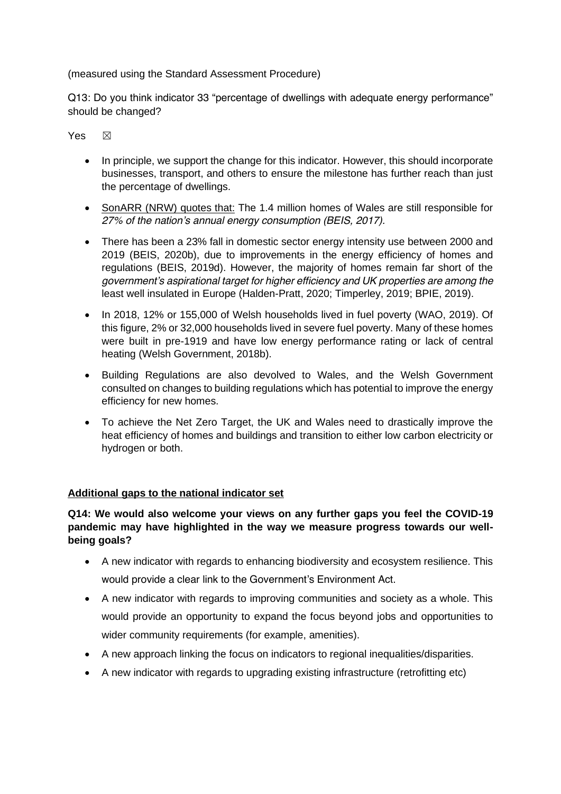(measured using the Standard Assessment Procedure)

Q13: Do you think indicator 33 "percentage of dwellings with adequate energy performance" should be changed?

Yes  $\boxtimes$ 

- In principle, we support the change for this indicator. However, this should incorporate businesses, transport, and others to ensure the milestone has further reach than just the percentage of dwellings.
- SonARR (NRW) quotes that: *The 1.4 million homes of Wales are still responsible for 27% of the nation's annual energy consumption (BEIS, 2017).*
- *There has been a 23% fall in domestic sector energy intensity use between 2000 and 2019 (BEIS, 2020b), due to improvements in the energy efficiency of homes and regulations (BEIS, 2019d). However, the majority of homes remain far short of the government's aspirational target for higher efficiency and UK properties are among the*  least well insulated in Europe (Halden-Pratt, 2020; Timperley, 2019; BPIE, 2019).
- *In 2018, 12% or 155,000 of Welsh households lived in fuel poverty (WAO, 2019). Of this figure, 2% or 32,000 households lived in severe fuel poverty. Many of these homes were built in pre-1919 and have low energy performance rating or lack of central heating (Welsh Government, 2018b).*
- *Building Regulations are also devolved to Wales, and the Welsh Government consulted on changes to building regulations which has potential to improve the energy efficiency for new homes.*
- *To achieve the Net Zero Target, the UK and Wales need to drastically improve the heat efficiency of homes and buildings and transition to either low carbon electricity or hydrogen or both.*

## **Additional gaps to the national indicator set**

### **Q14: We would also welcome your views on any further gaps you feel the COVID-19 pandemic may have highlighted in the way we measure progress towards our wellbeing goals?**

- A new indicator with regards to enhancing biodiversity and ecosystem resilience. This would provide a clear link to the Government's Environment Act.
- A new indicator with regards to improving communities and society as a whole. This would provide an opportunity to expand the focus beyond jobs and opportunities to wider community requirements (for example, amenities).
- A new approach linking the focus on indicators to regional inequalities/disparities.
- A new indicator with regards to upgrading existing infrastructure (retrofitting etc)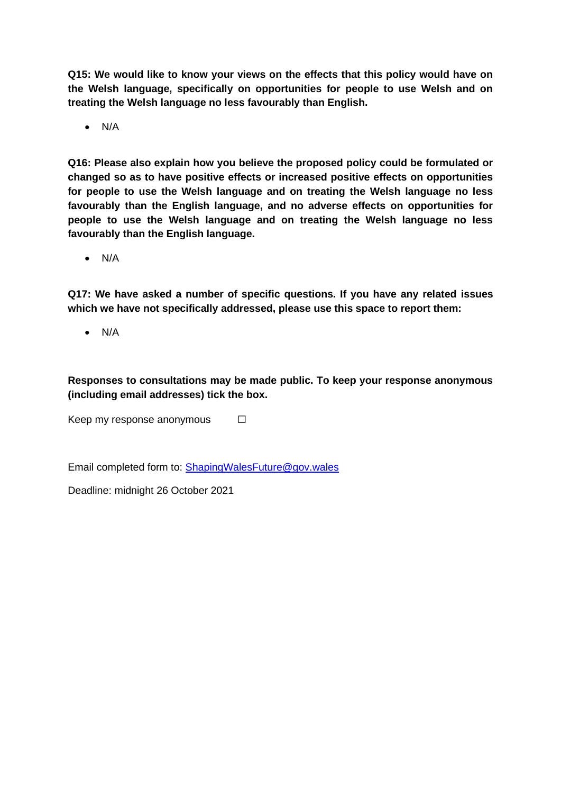**Q15: We would like to know your views on the effects that this policy would have on the Welsh language, specifically on opportunities for people to use Welsh and on treating the Welsh language no less favourably than English.**

• N/A

**Q16: Please also explain how you believe the proposed policy could be formulated or changed so as to have positive effects or increased positive effects on opportunities for people to use the Welsh language and on treating the Welsh language no less favourably than the English language, and no adverse effects on opportunities for people to use the Welsh language and on treating the Welsh language no less favourably than the English language.**

• N/A

**Q17: We have asked a number of specific questions. If you have any related issues which we have not specifically addressed, please use this space to report them:**

• N/A

**Responses to consultations may be made public. To keep your response anonymous (including email addresses) tick the box.**

Keep my response anonymous  $\Box$ 

Email completed form to: [ShapingWalesFuture@gov.wales](mailto:ShapingWalesFuture@gov.wales)

Deadline: midnight 26 October 2021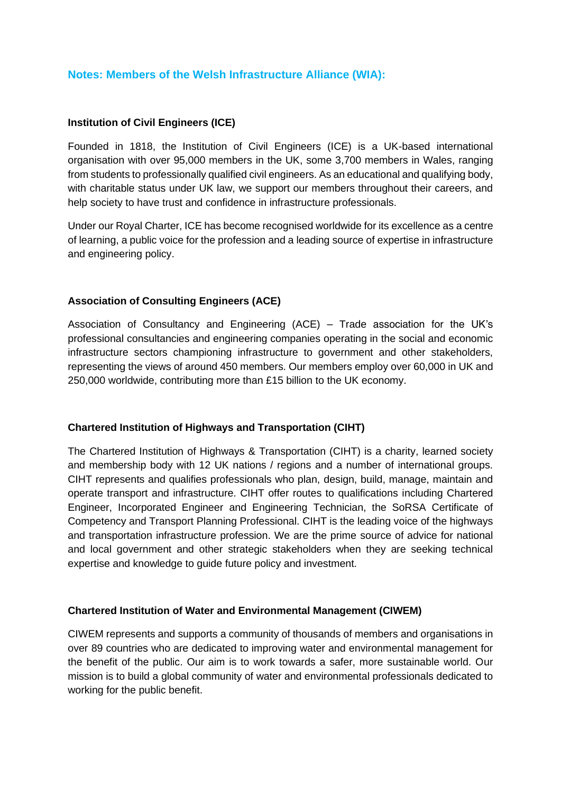## **Notes: Members of the Welsh Infrastructure Alliance (WIA):**

#### **Institution of Civil Engineers (ICE)**

Founded in 1818, the Institution of Civil Engineers (ICE) is a UK-based international organisation with over 95,000 members in the UK, some 3,700 members in Wales, ranging from students to professionally qualified civil engineers. As an educational and qualifying body, with charitable status under UK law, we support our members throughout their careers, and help society to have trust and confidence in infrastructure professionals.

Under our Royal Charter, ICE has become recognised worldwide for its excellence as a centre of learning, a public voice for the profession and a leading source of expertise in infrastructure and engineering policy.

### **Association of Consulting Engineers (ACE)**

Association of Consultancy and Engineering (ACE) – Trade association for the UK's professional consultancies and engineering companies operating in the social and economic infrastructure sectors championing infrastructure to government and other stakeholders, representing the views of around 450 members. Our members employ over 60,000 in UK and 250,000 worldwide, contributing more than £15 billion to the UK economy.

#### **Chartered Institution of Highways and Transportation (CIHT)**

The Chartered Institution of Highways & Transportation (CIHT) is a charity, learned society and membership body with 12 UK nations / regions and a number of international groups. CIHT represents and qualifies professionals who plan, design, build, manage, maintain and operate transport and infrastructure. CIHT offer routes to qualifications including Chartered Engineer, Incorporated Engineer and Engineering Technician, the SoRSA Certificate of Competency and Transport Planning Professional. CIHT is the leading voice of the highways and transportation infrastructure profession. We are the prime source of advice for national and local government and other strategic stakeholders when they are seeking technical expertise and knowledge to guide future policy and investment.

#### **Chartered Institution of Water and Environmental Management (CIWEM)**

CIWEM represents and supports a community of thousands of members and organisations in over 89 countries who are dedicated to improving water and environmental management for the benefit of the public. Our aim is to work towards a safer, more sustainable world. Our mission is to build a global community of water and environmental professionals dedicated to working for the public benefit.